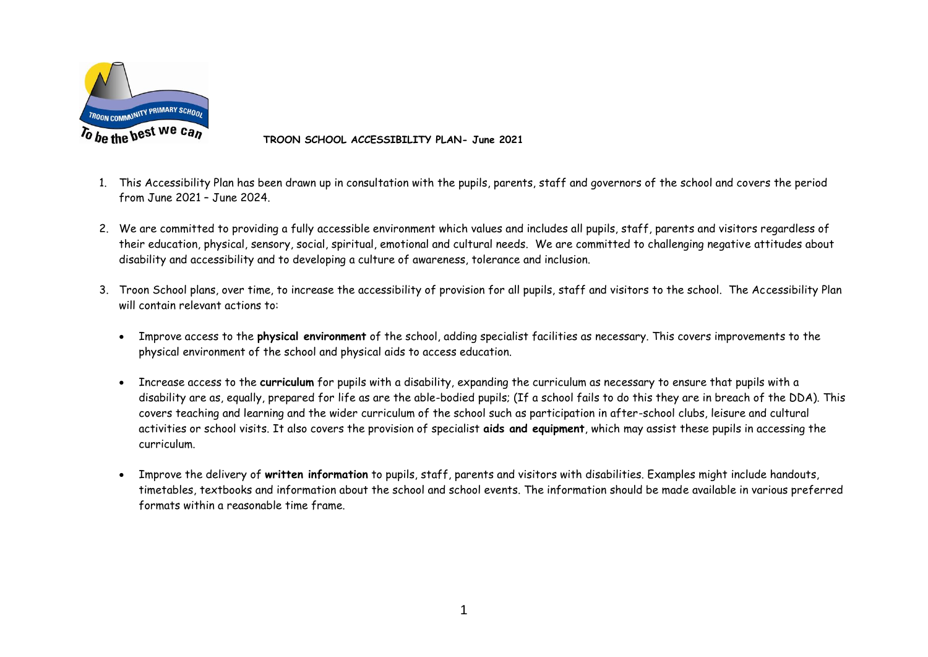

 **TROON SCHOOL ACCESSIBILITY PLAN- June 2021**

- 1. This Accessibility Plan has been drawn up in consultation with the pupils, parents, staff and governors of the school and covers the period from June 2021 – June 2024.
- 2. We are committed to providing a fully accessible environment which values and includes all pupils, staff, parents and visitors regardless of their education, physical, sensory, social, spiritual, emotional and cultural needs. We are committed to challenging negative attitudes about disability and accessibility and to developing a culture of awareness, tolerance and inclusion.
- 3. Troon School plans, over time, to increase the accessibility of provision for all pupils, staff and visitors to the school. The Accessibility Plan will contain relevant actions to:
	- Improve access to the **physical environment** of the school, adding specialist facilities as necessary. This covers improvements to the physical environment of the school and physical aids to access education.
	- Increase access to the **curriculum** for pupils with a disability, expanding the curriculum as necessary to ensure that pupils with a disability are as, equally, prepared for life as are the able-bodied pupils; (If a school fails to do this they are in breach of the DDA). This covers teaching and learning and the wider curriculum of the school such as participation in after-school clubs, leisure and cultural activities or school visits. It also covers the provision of specialist **aids and equipment**, which may assist these pupils in accessing the curriculum.
	- Improve the delivery of **written information** to pupils, staff, parents and visitors with disabilities. Examples might include handouts, timetables, textbooks and information about the school and school events. The information should be made available in various preferred formats within a reasonable time frame.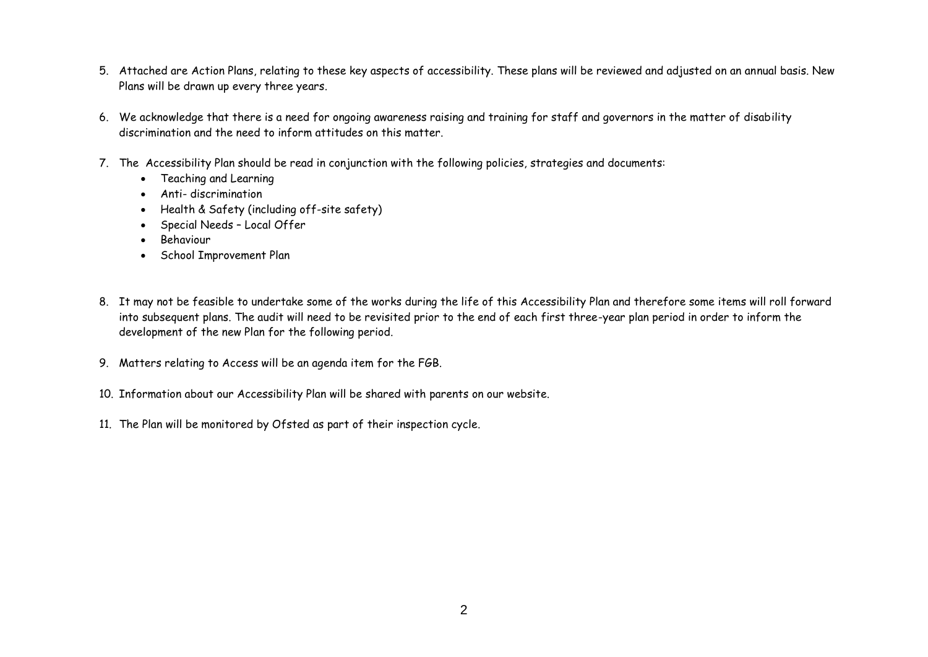- 5. Attached are Action Plans, relating to these key aspects of accessibility. These plans will be reviewed and adjusted on an annual basis. New Plans will be drawn up every three years.
- 6. We acknowledge that there is a need for ongoing awareness raising and training for staff and governors in the matter of disability discrimination and the need to inform attitudes on this matter.
- 7. The Accessibility Plan should be read in conjunction with the following policies, strategies and documents:
	- Teaching and Learning
	- Anti- discrimination
	- Health & Safety (including off-site safety)
	- Special Needs Local Offer
	- Behaviour
	- School Improvement Plan
- 8. It may not be feasible to undertake some of the works during the life of this Accessibility Plan and therefore some items will roll forward into subsequent plans. The audit will need to be revisited prior to the end of each first three-year plan period in order to inform the development of the new Plan for the following period.
- 9. Matters relating to Access will be an agenda item for the FGB.
- 10. Information about our Accessibility Plan will be shared with parents on our website.
- 11. The Plan will be monitored by Ofsted as part of their inspection cycle.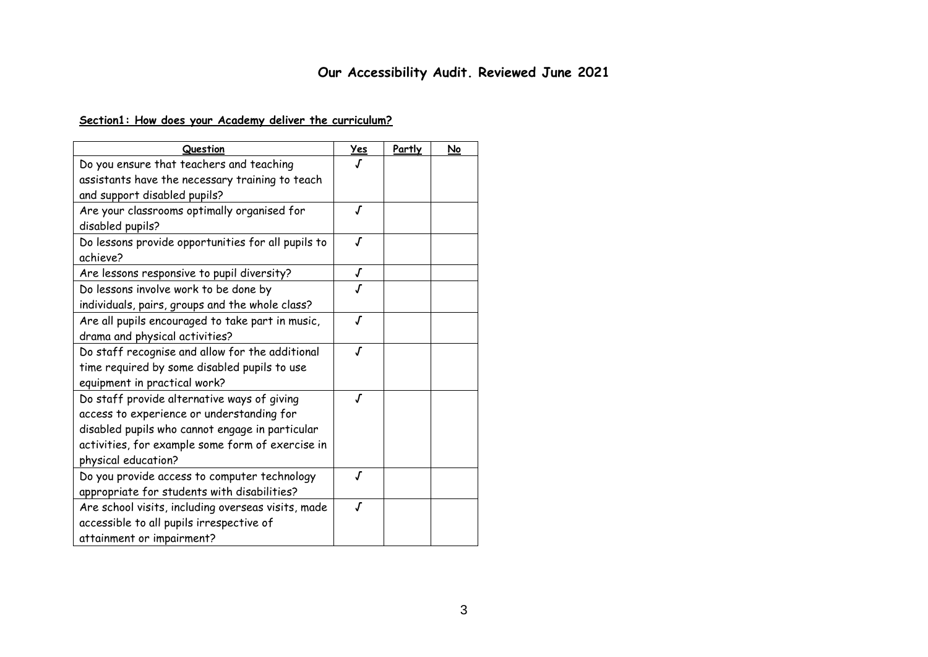# **Our Accessibility Audit. Reviewed June 2021**

# **Section1: How does your Academy deliver the curriculum?**

| Question                                           | Yes                 | Partly | No |
|----------------------------------------------------|---------------------|--------|----|
| Do you ensure that teachers and teaching           |                     |        |    |
| assistants have the necessary training to teach    |                     |        |    |
| and support disabled pupils?                       |                     |        |    |
| Are your classrooms optimally organised for        | J                   |        |    |
| disabled pupils?                                   |                     |        |    |
| Do lessons provide opportunities for all pupils to | J                   |        |    |
| achieve?                                           |                     |        |    |
| Are lessons responsive to pupil diversity?         | $\pmb{\cal J}$      |        |    |
| Do lessons involve work to be done by              | ſ                   |        |    |
| individuals, pairs, groups and the whole class?    |                     |        |    |
| Are all pupils encouraged to take part in music,   | $\sqrt{ }$          |        |    |
| drama and physical activities?                     |                     |        |    |
| Do staff recognise and allow for the additional    | $\pmb{J}$           |        |    |
| time required by some disabled pupils to use       |                     |        |    |
| equipment in practical work?                       |                     |        |    |
| Do staff provide alternative ways of giving        | $\pmb{\mathcal{J}}$ |        |    |
| access to experience or understanding for          |                     |        |    |
| disabled pupils who cannot engage in particular    |                     |        |    |
| activities, for example some form of exercise in   |                     |        |    |
| physical education?                                |                     |        |    |
| Do you provide access to computer technology       | ſ                   |        |    |
| appropriate for students with disabilities?        |                     |        |    |
| Are school visits, including overseas visits, made | $\overline{J}$      |        |    |
| accessible to all pupils irrespective of           |                     |        |    |
| attainment or impairment?                          |                     |        |    |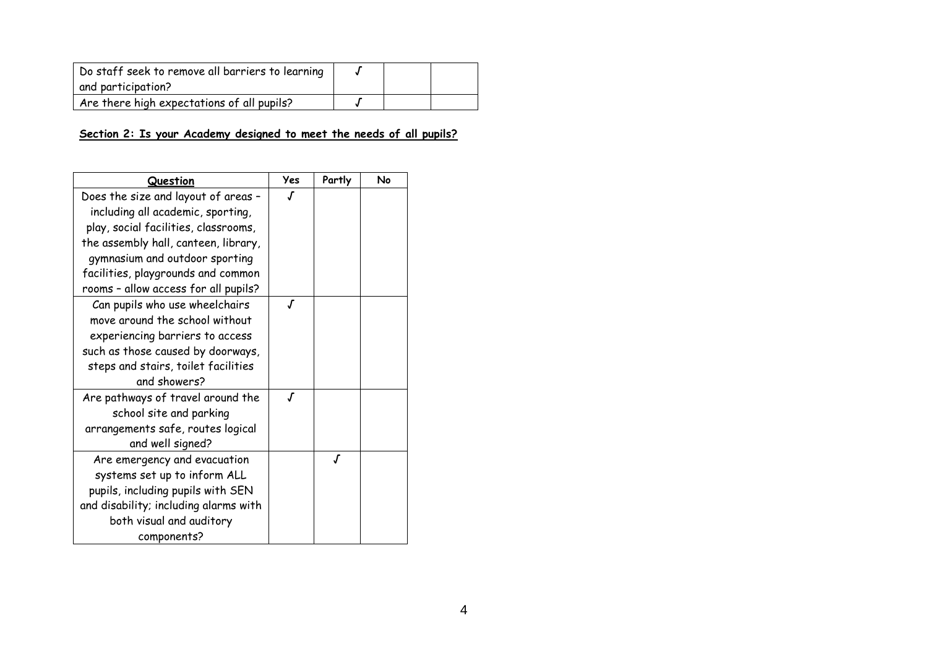| Do staff seek to remove all barriers to learning<br>and participation? |  |  |
|------------------------------------------------------------------------|--|--|
| Are there high expectations of all pupils?                             |  |  |

#### **Section 2: Is your Academy designed to meet the needs of all pupils?**

| Question                              | Yes | Partly | No |
|---------------------------------------|-----|--------|----|
| Does the size and layout of areas -   |     |        |    |
| including all academic, sporting,     |     |        |    |
| play, social facilities, classrooms,  |     |        |    |
| the assembly hall, canteen, library,  |     |        |    |
| gymnasium and outdoor sporting        |     |        |    |
| facilities, playgrounds and common    |     |        |    |
| rooms - allow access for all pupils?  |     |        |    |
| Can pupils who use wheelchairs        | Г   |        |    |
| move around the school without        |     |        |    |
| experiencing barriers to access       |     |        |    |
| such as those caused by doorways,     |     |        |    |
| steps and stairs, toilet facilities   |     |        |    |
| and showers?                          |     |        |    |
| Are pathways of travel around the     | J   |        |    |
| school site and parking               |     |        |    |
| arrangements safe, routes logical     |     |        |    |
| and well signed?                      |     |        |    |
| Are emergency and evacuation          |     | J      |    |
| systems set up to inform ALL          |     |        |    |
| pupils, including pupils with SEN     |     |        |    |
| and disability; including alarms with |     |        |    |
| both visual and auditory              |     |        |    |
| components?                           |     |        |    |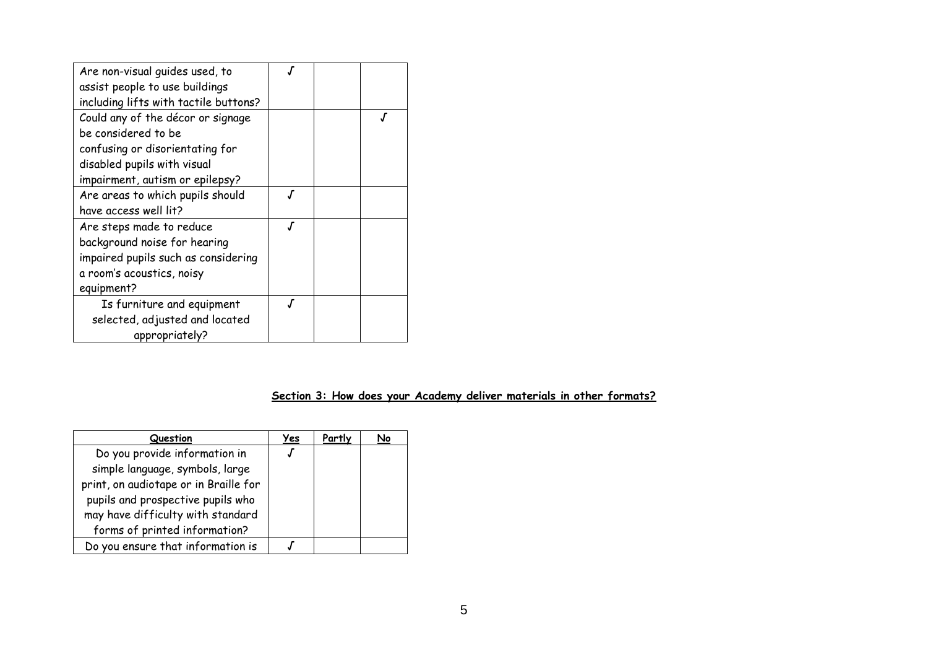| Are non-visual guides used, to        |    |  |
|---------------------------------------|----|--|
| assist people to use buildings        |    |  |
| including lifts with tactile buttons? |    |  |
| Could any of the décor or signage     |    |  |
| be considered to be                   |    |  |
| confusing or disorientating for       |    |  |
| disabled pupils with visual           |    |  |
| impairment, autism or epilepsy?       |    |  |
| Are areas to which pupils should      |    |  |
| have access well lit?                 |    |  |
| Are steps made to reduce              |    |  |
| background noise for hearing          |    |  |
| impaired pupils such as considering   |    |  |
| a room's acoustics, noisy             |    |  |
| equipment?                            |    |  |
| Is furniture and equipment            | .Г |  |
| selected, adjusted and located        |    |  |
| appropriately?                        |    |  |

# **Section 3: How does your Academy deliver materials in other formats?**

| Question                              | <u>Yes</u> | Partly | <u>No</u> |
|---------------------------------------|------------|--------|-----------|
| Do you provide information in         |            |        |           |
| simple language, symbols, large       |            |        |           |
| print, on audiotape or in Braille for |            |        |           |
| pupils and prospective pupils who     |            |        |           |
| may have difficulty with standard     |            |        |           |
| forms of printed information?         |            |        |           |
| Do you ensure that information is     |            |        |           |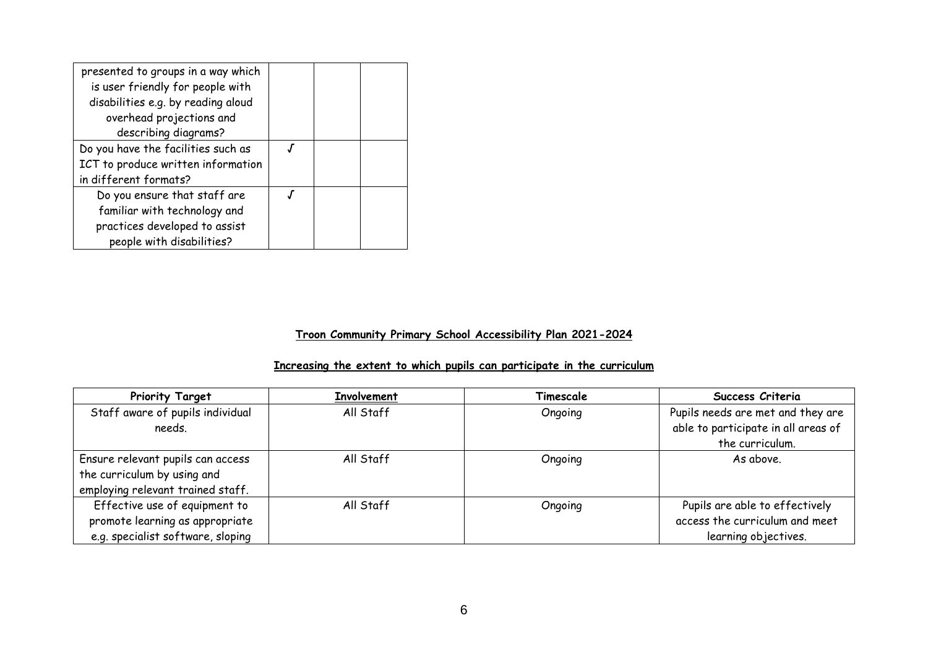| presented to groups in a way which<br>is user friendly for people with |  |  |
|------------------------------------------------------------------------|--|--|
| disabilities e.g. by reading aloud                                     |  |  |
| overhead projections and                                               |  |  |
| describing diagrams?                                                   |  |  |
| Do you have the facilities such as                                     |  |  |
| ICT to produce written information                                     |  |  |
| in different formats?                                                  |  |  |
| Do you ensure that staff are                                           |  |  |
| familiar with technology and                                           |  |  |
| practices developed to assist                                          |  |  |
| people with disabilities?                                              |  |  |

#### **Troon Community Primary School Accessibility Plan 2021-2024**

## **Increasing the extent to which pupils can participate in the curriculum**

| <b>Priority Target</b>            | <b>Involvement</b> | Timescale | Success Criteria                    |
|-----------------------------------|--------------------|-----------|-------------------------------------|
| Staff aware of pupils individual  | All Staff          | Ongoing   | Pupils needs are met and they are   |
| needs.                            |                    |           | able to participate in all areas of |
|                                   |                    |           | the curriculum.                     |
| Ensure relevant pupils can access | All Staff          | Ongoing   | As above.                           |
| the curriculum by using and       |                    |           |                                     |
| employing relevant trained staff. |                    |           |                                     |
| Effective use of equipment to     | All Staff          | Ongoing   | Pupils are able to effectively      |
| promote learning as appropriate   |                    |           | access the curriculum and meet      |
| e.g. specialist software, sloping |                    |           | learning objectives.                |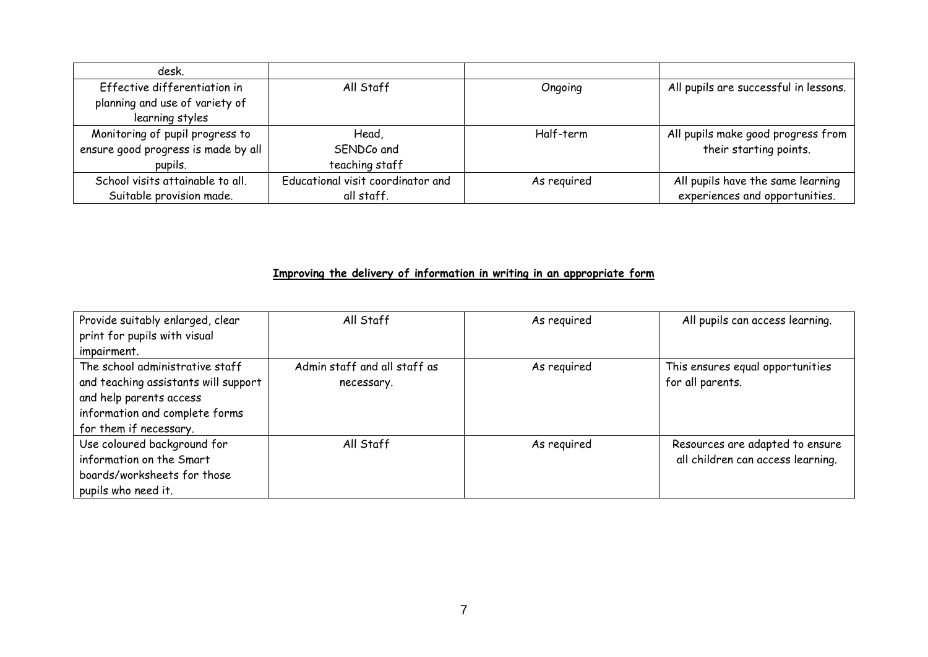| desk.                               |                                   |             |                                       |
|-------------------------------------|-----------------------------------|-------------|---------------------------------------|
| Effective differentiation in        | All Staff                         | Ongoing     | All pupils are successful in lessons. |
| planning and use of variety of      |                                   |             |                                       |
| learning styles                     |                                   |             |                                       |
| Monitoring of pupil progress to     | Head,                             | Half-term   | All pupils make good progress from    |
| ensure good progress is made by all | SENDCo and                        |             | their starting points.                |
| pupils.                             | teaching staff                    |             |                                       |
| School visits attainable to all.    | Educational visit coordinator and | As required | All pupils have the same learning     |
| Suitable provision made.            | all staff.                        |             | experiences and opportunities.        |

# **Improving the delivery of information in writing in an appropriate form**

| Provide suitably enlarged, clear     | All Staff                    | As required | All pupils can access learning.   |
|--------------------------------------|------------------------------|-------------|-----------------------------------|
| print for pupils with visual         |                              |             |                                   |
| impairment.                          |                              |             |                                   |
| The school administrative staff      | Admin staff and all staff as | As required | This ensures equal opportunities  |
| and teaching assistants will support | necessary.                   |             | for all parents.                  |
| and help parents access              |                              |             |                                   |
| information and complete forms       |                              |             |                                   |
| for them if necessary.               |                              |             |                                   |
| Use coloured background for          | All Staff                    | As required | Resources are adapted to ensure   |
| information on the Smart             |                              |             | all children can access learning. |
| boards/worksheets for those          |                              |             |                                   |
| pupils who need it.                  |                              |             |                                   |